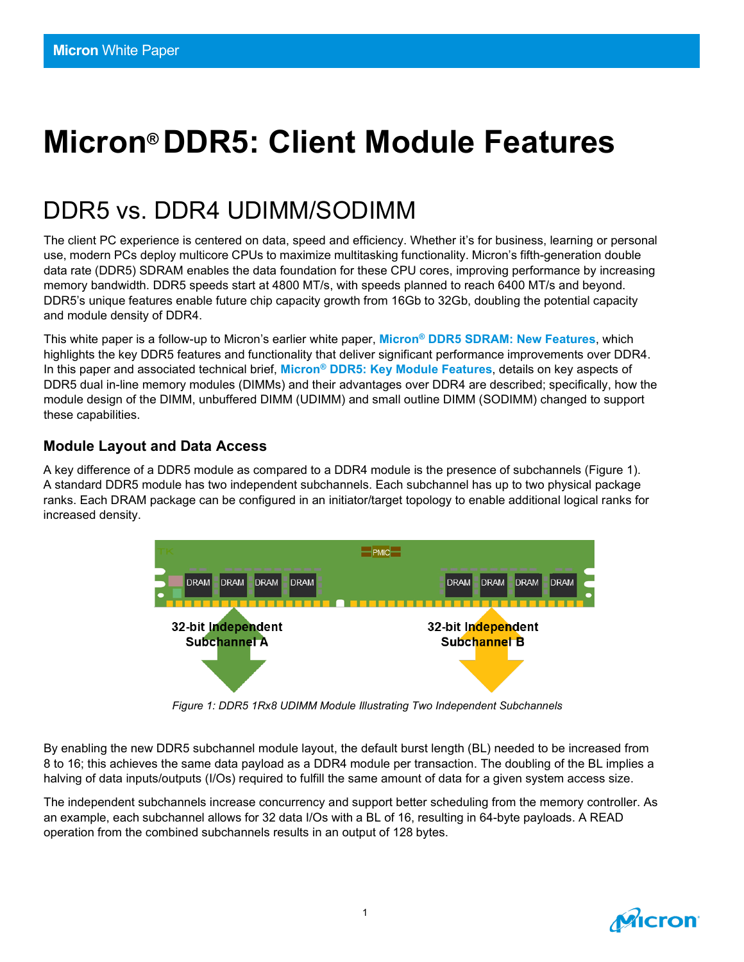# **Micron® DDR5: Client Module Features**

# DDR5 vs. DDR4 UDIMM/SODIMM

The client PC experience is centered on data, speed and efficiency. Whether it's for business, learning or personal use, modern PCs deploy multicore CPUs to maximize multitasking functionality. Micron's fifth-generation double data rate (DDR5) SDRAM enables the data foundation for these CPU cores, improving performance by increasing memory bandwidth. DDR5 speeds start at 4800 MT/s, with speeds planned to reach 6400 MT/s and beyond. DDR5's unique features enable future chip capacity growth from 16Gb to 32Gb, doubling the potential capacity and module density of DDR4.

This white paper is a follow-up to Micron's earlier white paper, **Micron® [DDR5 SDRAM: New Features](https://www.micron.com/-/media/client/global/documents/products/white-paper/ddr5_new_features_white_paper.pdf)**, which highlights the key DDR5 features and functionality that deliver significant performance improvements over DDR4. In this paper and associated technical brief, **Micron® [DDR5: Key Module Features](https://media-www.micron.com/-/media/client/global/documents/products/technical-marketing-brief/ddr5_key_module_features_tech_brief.pdf?la=en&rev=f3ca96bed7d9427ba72b4c192dfacb56)**, details on key aspects of DDR5 dual in-line memory modules (DIMMs) and their advantages over DDR4 are described; specifically, how the module design of the DIMM, unbuffered DIMM (UDIMM) and small outline DIMM (SODIMM) changed to support these capabilities.

### **Module Layout and Data Access**

A key difference of a DDR5 module as compared to a DDR4 module is the presence of subchannels (Figure 1). A standard DDR5 module has two independent subchannels. Each subchannel has up to two physical package ranks. Each DRAM package can be configured in an initiator/target topology to enable additional logical ranks for increased density.



*Figure 1: DDR5 1Rx8 UDIMM Module Illustrating Two Independent Subchannels*

By enabling the new DDR5 subchannel module layout, the default burst length (BL) needed to be increased from 8 to 16; this achieves the same data payload as a DDR4 module per transaction. The doubling of the BL implies a halving of data inputs/outputs (I/Os) required to fulfill the same amount of data for a given system access size.

The independent subchannels increase concurrency and support better scheduling from the memory controller. As an example, each subchannel allows for 32 data I/Os with a BL of 16, resulting in 64-byte payloads. A READ operation from the combined subchannels results in an output of 128 bytes.

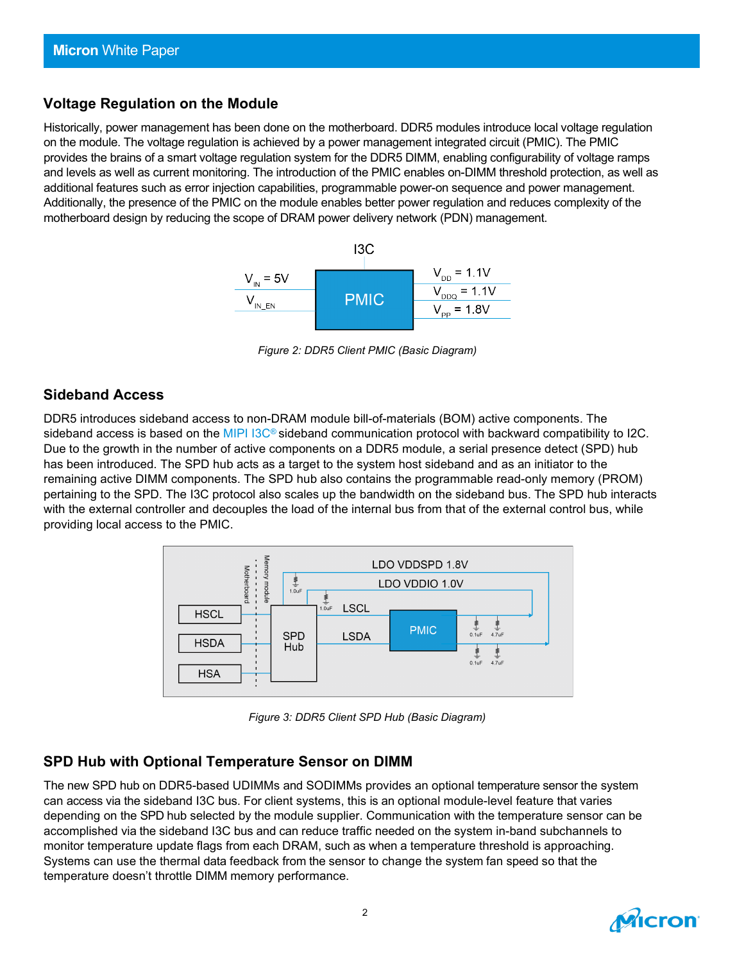### **Voltage Regulation on the Module**

Historically, power management has been done on the motherboard. DDR5 modules introduce local voltage regulation on the module. The voltage regulation is achieved by a power management integrated circuit (PMIC). The PMIC provides the brains of a smart voltage regulation system for the DDR5 DIMM, enabling configurability of voltage ramps and levels as well as current monitoring. The introduction of the PMIC enables on-DIMM threshold protection, as well as additional features such as error injection capabilities, programmable power-on sequence and power management. Additionally, the presence of the PMIC on the module enables better power regulation and reduces complexity of the motherboard design by reducing the scope of DRAM power delivery network (PDN) management. 



*Figure 2: DDR5 Client PMIC (Basic Diagram)*

### **Sideband Access**

DDR5 introduces sideband access to non-DRAM module bill-of-materials (BOM) active components. The sideband access is based on the MIPI I3C<sup>®</sup> sideband communication protocol with backward compatibility to I2C. Due to the growth in the number of active components on a DDR5 module, a serial presence detect (SPD) hub has been introduced. The SPD hub acts as a target to the system host sideband and as an initiator to the remaining active DIMM components. The SPD hub also contains the programmable read-only memory (PROM) pertaining to the SPD. The I3C protocol also scales up the bandwidth on the sideband bus. The SPD hub interacts with the external controller and decouples the load of the internal bus from that of the external control bus, while providing local access to the PMIC.



*Figure 3: DDR5 Client SPD Hub (Basic Diagram)*

### **SPD Hub with Optional Temperature Sensor on DIMM**

The new SPD hub on DDR5-based UDIMMs and SODIMMs provides an optional temperature sensor the system can access via the sideband I3C bus. For client systems, this is an optional module-level feature that varies depending on the SPD hub selected by the module supplier. Communication with the temperature sensor can be accomplished via the sideband I3C bus and can reduce traffic needed on the system in-band subchannels to monitor temperature update flags from each DRAM, such as when a temperature threshold is approaching. Systems can use the thermal data feedback from the sensor to change the system fan speed so that the temperature doesn't throttle DIMM memory performance.

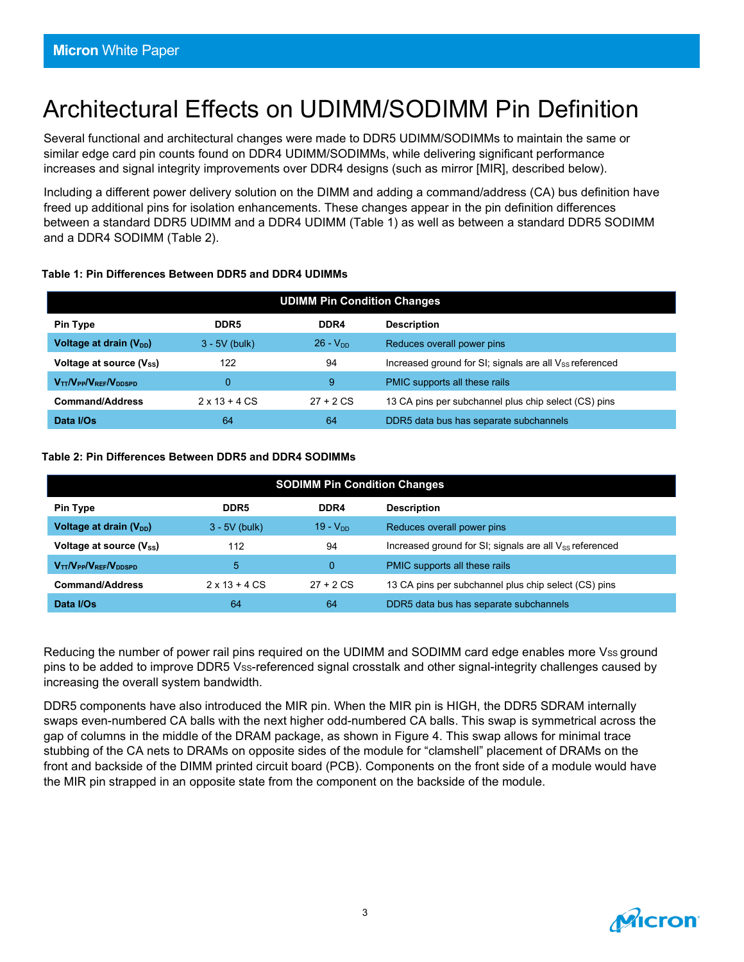# Architectural Effects on UDIMM/SODIMM Pin Definition

Several functional and architectural changes were made to DDR5 UDIMM/SODIMMs to maintain the same or similar edge card pin counts found on DDR4 UDIMM/SODIMMs, while delivering significant performance increases and signal integrity improvements over DDR4 designs (such as mirror [MIR], described below).

Including a different power delivery solution on the DIMM and adding a command/address (CA) bus definition have freed up additional pins for isolation enhancements. These changes appear in the pin definition differences between a standard DDR5 UDIMM and a DDR4 UDIMM (Table 1) as well as between a standard DDR5 SODIMM and a DDR4 SODIMM (Table 2).

### **Table 1: Pin Differences Between DDR5 and DDR4 UDIMMs**

| <b>UDIMM Pin Condition Changes</b>  |                              |               |                                                              |  |
|-------------------------------------|------------------------------|---------------|--------------------------------------------------------------|--|
| <b>Pin Type</b>                     | DDR <sub>5</sub>             | DDR4          | <b>Description</b>                                           |  |
| Voltage at drain (V <sub>DD</sub> ) | $3 - 5V$ (bulk)              | $26 - V_{DD}$ | Reduces overall power pins                                   |  |
| Voltage at source $(V_{ss})$        | 122                          | 94            | Increased ground for SI; signals are all $V_{SS}$ referenced |  |
| $V_{TT}/V_{PP}/V_{REF}/V_{DDSPD}$   | 0                            | 9             | PMIC supports all these rails                                |  |
| <b>Command/Address</b>              | $2 \times 13 + 4 \text{ CS}$ | $27 + 2$ CS   | 13 CA pins per subchannel plus chip select (CS) pins         |  |
| Data I/Os                           | 64                           | 64            | DDR5 data bus has separate subchannels                       |  |

### **Table 2: Pin Differences Between DDR5 and DDR4 SODIMMs**

| <b>SODIMM Pin Condition Changes</b>  |                              |             |                                                              |  |
|--------------------------------------|------------------------------|-------------|--------------------------------------------------------------|--|
| <b>Pin Type</b>                      | DDR <sub>5</sub>             | DDR4        | <b>Description</b>                                           |  |
| Voltage at drain $(V_{DD})$          | $3 - 5V$ (bulk)              | $19 - VDD$  | Reduces overall power pins                                   |  |
| Voltage at source (V <sub>ss</sub> ) | 112                          | 94          | Increased ground for SI; signals are all $V_{SS}$ referenced |  |
| $V_{TT}/V_{PP}/V_{REF}/V_{DDSPD}$    | 5                            | $\Omega$    | PMIC supports all these rails                                |  |
| <b>Command/Address</b>               | $2 \times 13 + 4 \text{ CS}$ | $27 + 2 CS$ | 13 CA pins per subchannel plus chip select (CS) pins         |  |
| Data I/Os                            | 64                           | 64          | DDR5 data bus has separate subchannels                       |  |

Reducing the number of power rail pins required on the UDIMM and SODIMM card edge enables more Vss ground pins to be added to improve DDR5 Vss-referenced signal crosstalk and other signal-integrity challenges caused by increasing the overall system bandwidth.

DDR5 components have also introduced the MIR pin. When the MIR pin is HIGH, the DDR5 SDRAM internally swaps even-numbered CA balls with the next higher odd-numbered CA balls. This swap is symmetrical across the gap of columns in the middle of the DRAM package, as shown in Figure 4. This swap allows for minimal trace stubbing of the CA nets to DRAMs on opposite sides of the module for "clamshell" placement of DRAMs on the front and backside of the DIMM printed circuit board (PCB). Components on the front side of a module would have the MIR pin strapped in an opposite state from the component on the backside of the module.

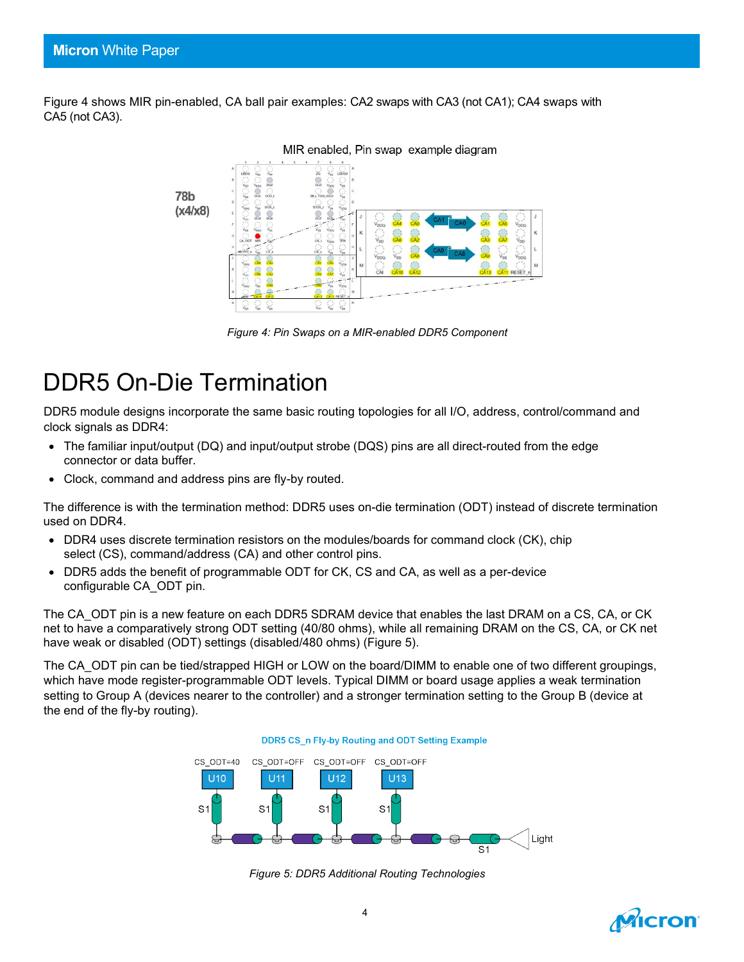Figure 4 shows MIR pin-enabled, CA ball pair examples: CA2 swaps with CA3 (not CA1); CA4 swaps with CA5 (not CA3).



*Figure 4: Pin Swaps on a MIR-enabled DDR5 Component*

# DDR5 On-Die Termination

DDR5 module designs incorporate the same basic routing topologies for all I/O, address, control/command and clock signals as DDR4:

- The familiar input/output (DQ) and input/output strobe (DQS) pins are all direct-routed from the edge connector or data buffer.
- Clock, command and address pins are fly-by routed.

The difference is with the termination method: DDR5 uses on-die termination (ODT) instead of discrete termination used on DDR4.

- DDR4 uses discrete termination resistors on the modules/boards for command clock (CK), chip select (CS), command/address (CA) and other control pins.
- DDR5 adds the benefit of programmable ODT for CK, CS and CA, as well as a per-device configurable CA\_ODT pin.

The CA ODT pin is a new feature on each DDR5 SDRAM device that enables the last DRAM on a CS, CA, or CK net to have a comparatively strong ODT setting (40/80 ohms), while all remaining DRAM on the CS, CA, or CK net have weak or disabled (ODT) settings (disabled/480 ohms) (Figure 5).

The CA\_ODT pin can be tied/strapped HIGH or LOW on the board/DIMM to enable one of two different groupings, which have mode register-programmable ODT levels. Typical DIMM or board usage applies a weak termination setting to Group A (devices nearer to the controller) and a stronger termination setting to the Group B (device at the end of the fly-by routing).



*Figure 5: DDR5 Additional Routing Technologies*

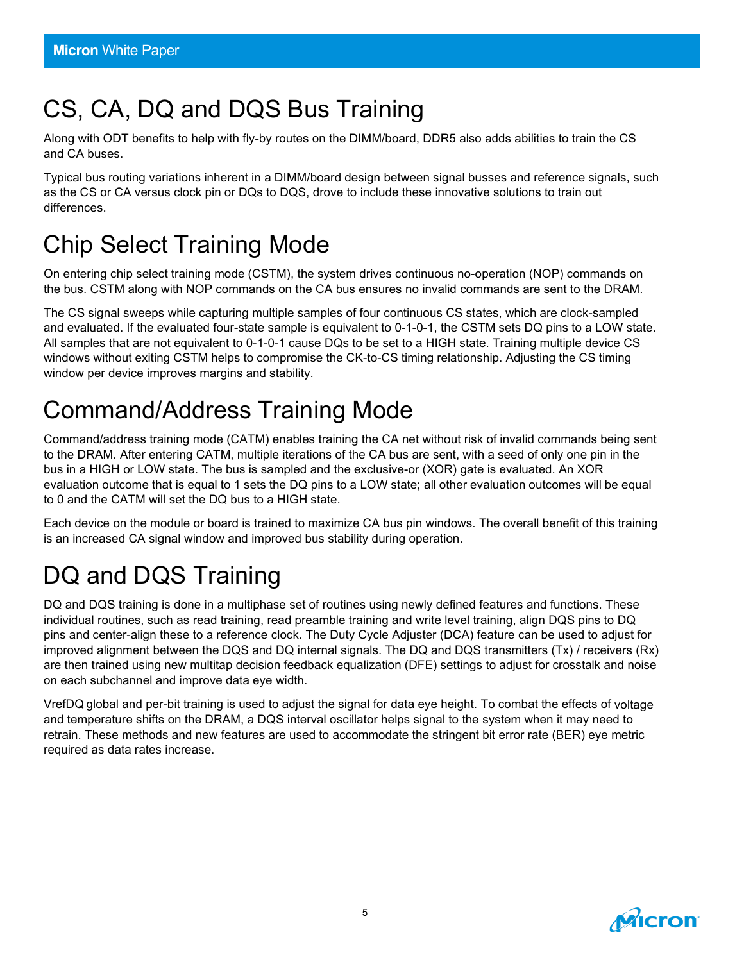# CS, CA, DQ and DQS Bus Training

Along with ODT benefits to help with fly-by routes on the DIMM/board, DDR5 also adds abilities to train the CS and CA buses.

Typical bus routing variations inherent in a DIMM/board design between signal busses and reference signals, such as the CS or CA versus clock pin or DQs to DQS, drove to include these innovative solutions to train out differences.

# Chip Select Training Mode

On entering chip select training mode (CSTM), the system drives continuous no-operation (NOP) commands on the bus. CSTM along with NOP commands on the CA bus ensures no invalid commands are sent to the DRAM.

The CS signal sweeps while capturing multiple samples of four continuous CS states, which are clock-sampled and evaluated. If the evaluated four-state sample is equivalent to 0-1-0-1, the CSTM sets DQ pins to a LOW state. All samples that are not equivalent to 0-1-0-1 cause DQs to be set to a HIGH state. Training multiple device CS windows without exiting CSTM helps to compromise the CK-to-CS timing relationship. Adjusting the CS timing window per device improves margins and stability.

# Command/Address Training Mode

Command/address training mode (CATM) enables training the CA net without risk of invalid commands being sent to the DRAM. After entering CATM, multiple iterations of the CA bus are sent, with a seed of only one pin in the bus in a HIGH or LOW state. The bus is sampled and the exclusive-or (XOR) gate is evaluated. An XOR evaluation outcome that is equal to 1 sets the DQ pins to a LOW state; all other evaluation outcomes will be equal to 0 and the CATM will set the DQ bus to a HIGH state.

Each device on the module or board is trained to maximize CA bus pin windows. The overall benefit of this training is an increased CA signal window and improved bus stability during operation.

# DQ and DQS Training

DQ and DQS training is done in a multiphase set of routines using newly defined features and functions. These individual routines, such as read training, read preamble training and write level training, align DQS pins to DQ pins and center-align these to a reference clock. The Duty Cycle Adjuster (DCA) feature can be used to adjust for improved alignment between the DQS and DQ internal signals. The DQ and DQS transmitters (Tx) / receivers (Rx) are then trained using new multitap decision feedback equalization (DFE) settings to adjust for crosstalk and noise on each subchannel and improve data eye width.

VrefDQ global and per-bit training is used to adjust the signal for data eye height. To combat the effects of voltage and temperature shifts on the DRAM, a DQS interval oscillator helps signal to the system when it may need to retrain. These methods and new features are used to accommodate the stringent bit error rate (BER) eye metric required as data rates increase.